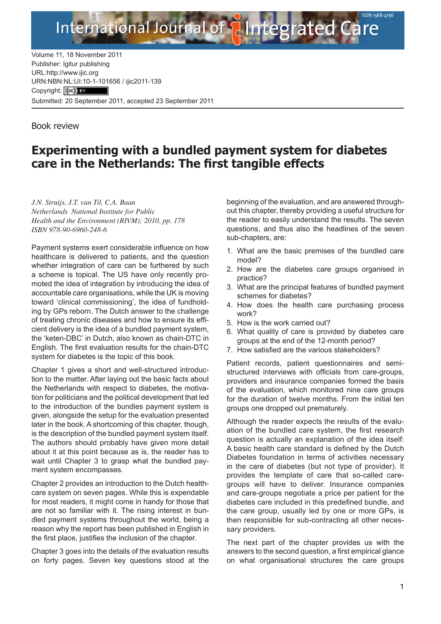

Volume 11, 18 November 2011 Publisher: Igitur publishing URL[:http://www.ijic.org](http://www.ijic.org) URN:NBN[:NL:UI:10-1-1016](http://creativecommons.org/licenses/by/3.0/)56 / ijic2011-139 Copyright: (cc) Submitted: 20 September 2011, accepted 23 September 2011

International Journal of

## Book review

## **Experimenting with a bundled payment system for diabetes care in the Netherlands: The first tangible effects**

*J.N. Struijs, J.T. van Til, C.A. Baan Netherlands National Institute for Public Health and the Environment (RIVM); 2010*, *pp. 178 ISBN 978-90-6960-248-6* 

Payment systems exert considerable influence on how healthcare is delivered to patients, and the question whether integration of care can be furthered by such a scheme is topical. The US have only recently promoted the idea of integration by introducing the idea of accountable care organisations, while the UK is moving toward 'clinical commissioning', the idea of fundholding by GPs reborn. The Dutch answer to the challenge of treating chronic diseases and how to ensure its efficient delivery is the idea of a bundled payment system, the 'keten-DBC' in Dutch, also known as chain-DTC in English. The first evaluation results for the chain-DTC system for diabetes is the topic of this book.

Chapter 1 gives a short and well-structured introduction to the matter. After laying out the basic facts about the Netherlands with respect to diabetes, the motivation for politicians and the political development that led to the introduction of the bundles payment system is given, alongside the setup for the evaluation presented later in the book. A shortcoming of this chapter, though, is the description of the bundled payment system itself. The authors should probably have given more detail about it at this point because as is, the reader has to wait until Chapter 3 to grasp what the bundled payment system encompasses.

Chapter 2 provides an introduction to the Dutch healthcare system on seven pages. While this is expendable for most readers, it might come in handy for those that are not so familiar with it. The rising interest in bundled payment systems throughout the world, being a reason why the report has been published in English in the first place, justifies the inclusion of the chapter.

Chapter 3 goes into the details of the evaluation results on forty pages. Seven key questions stood at the beginning of the evaluation, and are answered throughout this chapter, thereby providing a useful structure for the reader to easily understand the results. The seven questions, and thus also the headlines of the seven sub-chapters, are:

- 1. What are the basic premises of the bundled care model?
- 2. How are the diabetes care groups organised in practice?
- 3. What are the principal features of bundled payment schemes for diabetes?
- 4. How does the health care purchasing process work?
- 5. How is the work carried out?
- 6. What quality of care is provided by diabetes care groups at the end of the 12-month period?
- 7. How satisfied are the various stakeholders?

Patient records, patient questionnaires and semistructured interviews with officials from care-groups, providers and insurance companies formed the basis of the evaluation, which monitored nine care groups for the duration of twelve months. From the initial ten groups one dropped out prematurely.

Although the reader expects the results of the evaluation of the bundled care system, the first research question is actually an explanation of the idea itself: A basic health care standard is defined by the Dutch Diabetes foundation in terms of activities necessary in the care of diabetes (but not type of provider). It provides the template of care that so-called caregroups will have to deliver. Insurance companies and care-groups negotiate a price per patient for the diabetes care included in this predefined bundle, and the care group, usually led by one or more GPs, is then responsible for sub-contracting all other necessary providers.

The next part of the chapter provides us with the answers to the second question, a first empirical glance on what organisational structures the care groups